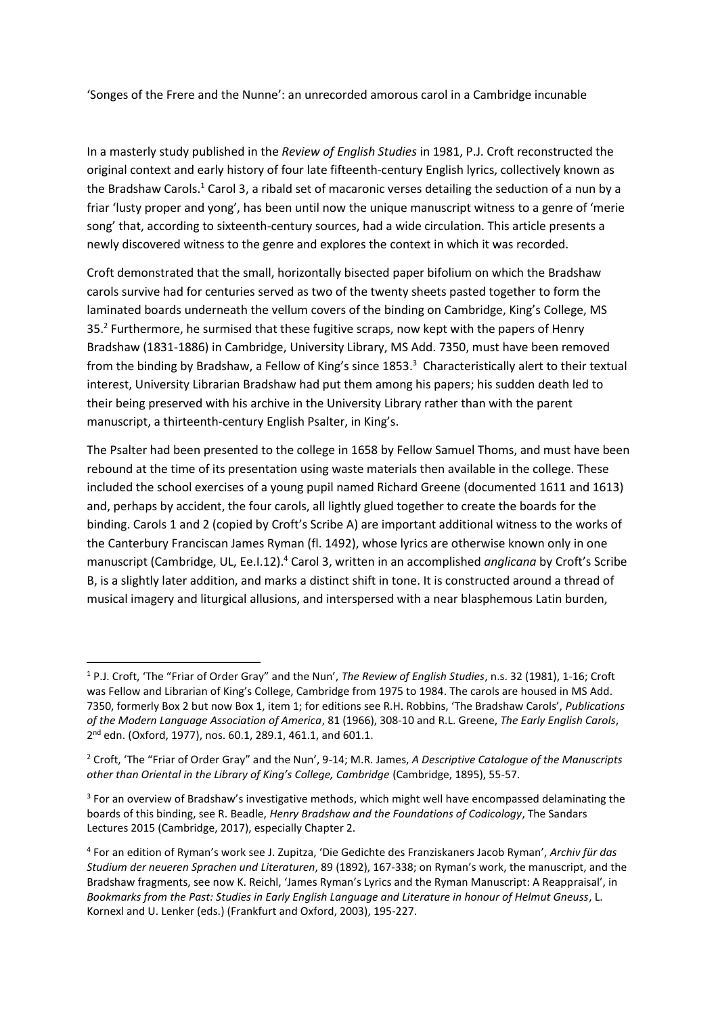'Songes of the Frere and the Nunne': an unrecorded amorous carol in a Cambridge incunable

In a masterly study published in the *Review of English Studies* in 1981, P.J. Croft reconstructed the original context and early history of four late fifteenth-century English lyrics, collectively known as the Bradshaw Carols.<sup>1</sup> Carol 3, a ribald set of macaronic verses detailing the seduction of a nun by a friar 'lusty proper and yong', has been until now the unique manuscript witness to a genre of 'merie song' that, according to sixteenth-century sources, had a wide circulation. This article presents a newly discovered witness to the genre and explores the context in which it was recorded.

Croft demonstrated that the small, horizontally bisected paper bifolium on which the Bradshaw carols survive had for centuries served as two of the twenty sheets pasted together to form the laminated boards underneath the vellum covers of the binding on Cambridge, King's College, MS 35.<sup>2</sup> Furthermore, he surmised that these fugitive scraps, now kept with the papers of Henry Bradshaw (1831-1886) in Cambridge, University Library, MS Add. 7350, must have been removed from the binding by Bradshaw, a Fellow of King's since 1853.<sup>3</sup> Characteristically alert to their textual interest, University Librarian Bradshaw had put them among his papers; his sudden death led to their being preserved with his archive in the University Library rather than with the parent manuscript, a thirteenth-century English Psalter, in King's.

The Psalter had been presented to the college in 1658 by Fellow Samuel Thoms, and must have been rebound at the time of its presentation using waste materials then available in the college. These included the school exercises of a young pupil named Richard Greene (documented 1611 and 1613) and, perhaps by accident, the four carols, all lightly glued together to create the boards for the binding. Carols 1 and 2 (copied by Croft's Scribe A) are important additional witness to the works of the Canterbury Franciscan James Ryman (fl. 1492), whose lyrics are otherwise known only in one manuscript (Cambridge, UL, Ee.I.12).<sup>4</sup> Carol 3, written in an accomplished *anglicana* by Croft's Scribe B, is a slightly later addition, and marks a distinct shift in tone. It is constructed around a thread of musical imagery and liturgical allusions, and interspersed with a near blasphemous Latin burden,

**.** 

<sup>1</sup> P.J. Croft, 'The "Friar of Order Gray" and the Nun', *The Review of English Studies*, n.s. 32 (1981), 1-16; Croft was Fellow and Librarian of King's College, Cambridge from 1975 to 1984. The carols are housed in MS Add. 7350, formerly Box 2 but now Box 1, item 1; for editions see R.H. Robbins, 'The Bradshaw Carols', *Publications of the Modern Language Association of America*, 81 (1966), 308-10 and R.L. Greene, *The Early English Carols*, 2<sup>nd</sup> edn. (Oxford, 1977), nos. 60.1, 289.1, 461.1, and 601.1.

<sup>2</sup> Croft, 'The "Friar of Order Gray" and the Nun', 9-14; M.R. James, *A Descriptive Catalogue of the Manuscripts other than Oriental in the Library of King's College, Cambridge* (Cambridge, 1895), 55-57.

<sup>&</sup>lt;sup>3</sup> For an overview of Bradshaw's investigative methods, which might well have encompassed delaminating the boards of this binding, see R. Beadle, *Henry Bradshaw and the Foundations of Codicology*, The Sandars Lectures 2015 (Cambridge, 2017), especially Chapter 2.

<sup>4</sup> For an edition of Ryman's work see J. Zupitza, 'Die Gedichte des Franziskaners Jacob Ryman', *Archiv für das Studium der neueren Sprachen und Literaturen*, 89 (1892), 167-338; on Ryman's work, the manuscript, and the Bradshaw fragments, see now K. Reichl, 'James Ryman's Lyrics and the Ryman Manuscript: A Reappraisal', in *Bookmarks from the Past: Studies in Early English Language and Literature in honour of Helmut Gneuss*, L. Kornexl and U. Lenker (eds.) (Frankfurt and Oxford, 2003), 195-227.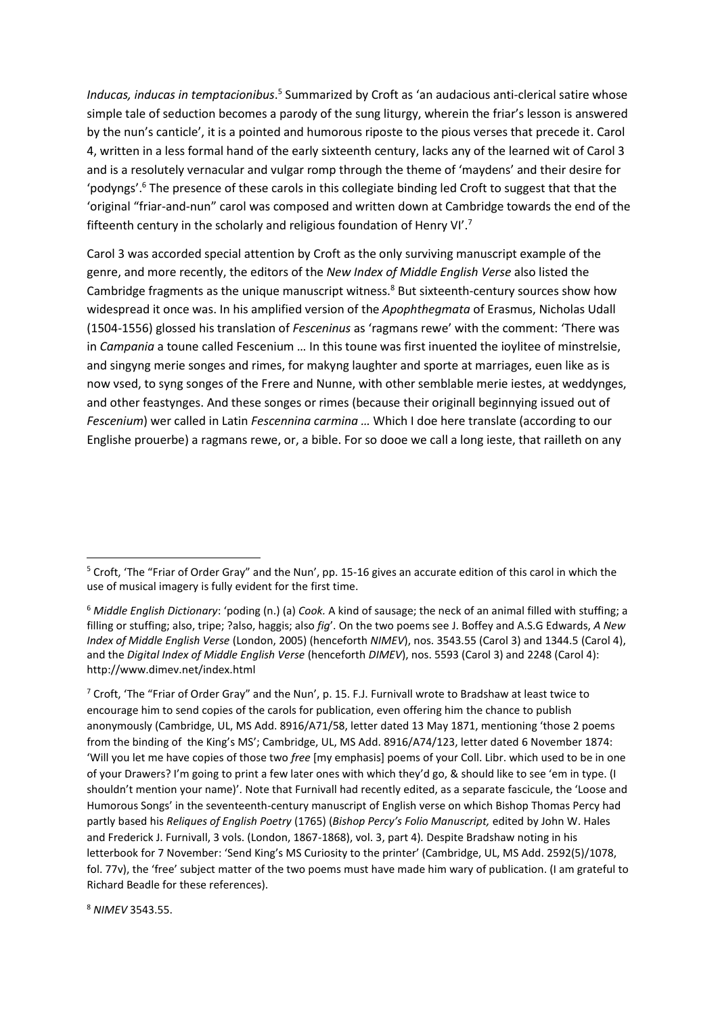Inducas, inducas in temptacionibus.<sup>5</sup> Summarized by Croft as 'an audacious anti-clerical satire whose simple tale of seduction becomes a parody of the sung liturgy, wherein the friar's lesson is answered by the nun's canticle', it is a pointed and humorous riposte to the pious verses that precede it. Carol 4, written in a less formal hand of the early sixteenth century, lacks any of the learned wit of Carol 3 and is a resolutely vernacular and vulgar romp through the theme of 'maydens' and their desire for 'podyngs'. <sup>6</sup> The presence of these carols in this collegiate binding led Croft to suggest that that the 'original "friar-and-nun" carol was composed and written down at Cambridge towards the end of the fifteenth century in the scholarly and religious foundation of Henry VI'.<sup>7</sup>

Carol 3 was accorded special attention by Croft as the only surviving manuscript example of the genre, and more recently, the editors of the *New Index of Middle English Verse* also listed the Cambridge fragments as the unique manuscript witness. <sup>8</sup> But sixteenth-century sources show how widespread it once was. In his amplified version of the *Apophthegmata* of Erasmus, Nicholas Udall (1504-1556) glossed his translation of *Fesceninus* as 'ragmans rewe' with the comment: 'There was in *Campania* a toune called Fescenium … In this toune was first inuented the ioylitee of minstrelsie, and singyng merie songes and rimes, for makyng laughter and sporte at marriages, euen like as is now vsed, to syng songes of the Frere and Nunne, with other semblable merie iestes, at weddynges, and other feastynges. And these songes or rimes (because their originall beginnying issued out of *Fescenium*) wer called in Latin *Fescennina carmina …* Which I doe here translate (according to our Englishe prouerbe) a ragmans rewe, or, a bible. For so dooe we call a long ieste, that railleth on any

<sup>8</sup> *NIMEV* 3543.55.

1

<sup>&</sup>lt;sup>5</sup> Croft, 'The "Friar of Order Gray" and the Nun', pp. 15-16 gives an accurate edition of this carol in which the use of musical imagery is fully evident for the first time.

<sup>6</sup> *Middle English Dictionary*: 'poding (n.) (a) *Cook.* A kind of sausage; the neck of an animal filled with stuffing; a filling or stuffing; also, tripe; ?also, haggis; also *fig*'. On the two poems see J. Boffey and A.S.G Edwards, *A New Index of Middle English Verse* (London, 2005) (henceforth *NIMEV*), nos. 3543.55 (Carol 3) and 1344.5 (Carol 4), and the *Digital Index of Middle English Verse* (henceforth *DIMEV*), nos. 5593 (Carol 3) and 2248 (Carol 4): http://www.dimev.net/index.html

<sup>7</sup> Croft, 'The "Friar of Order Gray" and the Nun', p. 15. F.J. Furnivall wrote to Bradshaw at least twice to encourage him to send copies of the carols for publication, even offering him the chance to publish anonymously (Cambridge, UL, MS Add. 8916/A71/58, letter dated 13 May 1871, mentioning 'those 2 poems from the binding of the King's MS'; Cambridge, UL, MS Add. 8916/A74/123, letter dated 6 November 1874: 'Will you let me have copies of those two *free* [my emphasis] poems of your Coll. Libr. which used to be in one of your Drawers? I'm going to print a few later ones with which they'd go, & should like to see 'em in type. (I shouldn't mention your name)'. Note that Furnivall had recently edited, as a separate fascicule, the 'Loose and Humorous Songs' in the seventeenth-century manuscript of English verse on which Bishop Thomas Percy had partly based his *Reliques of English Poetry* (1765) (*Bishop Percy's Folio Manuscript,* edited by John W. Hales and Frederick J. Furnivall, 3 vols. (London, 1867-1868), vol. 3, part 4)*.* Despite Bradshaw noting in his letterbook for 7 November: 'Send King's MS Curiosity to the printer' (Cambridge, UL, MS Add. 2592(5)/1078, fol. 77v), the 'free' subject matter of the two poems must have made him wary of publication. (I am grateful to Richard Beadle for these references).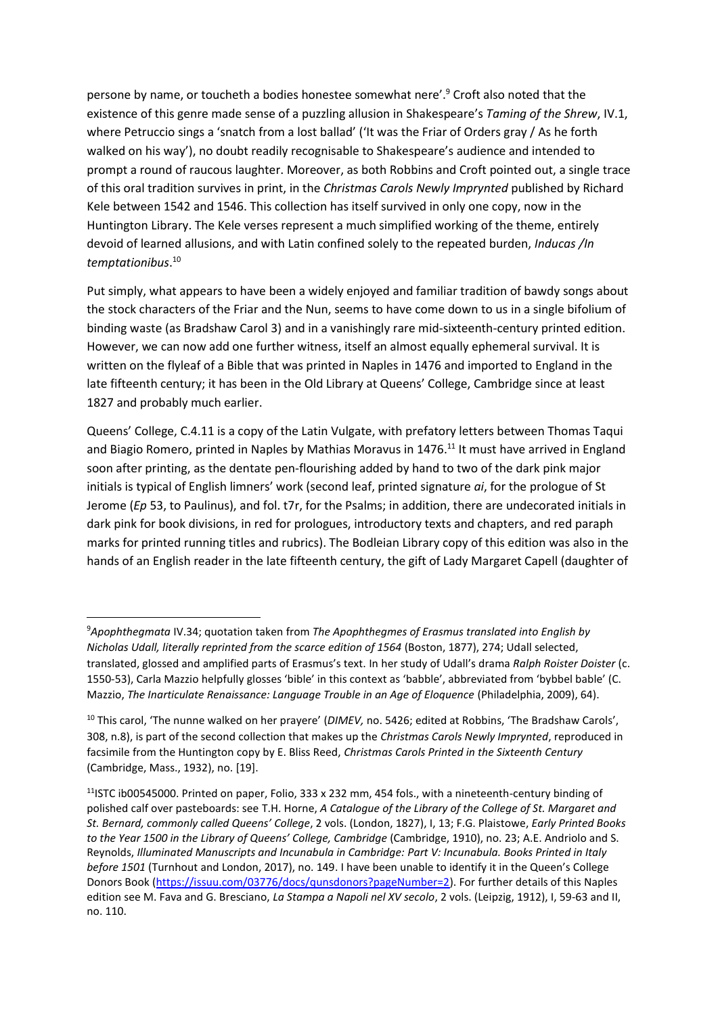persone by name, or toucheth a bodies honestee somewhat nere'.<sup>9</sup> Croft also noted that the existence of this genre made sense of a puzzling allusion in Shakespeare's *Taming of the Shrew*, IV.1, where Petruccio sings a 'snatch from a lost ballad' ('It was the Friar of Orders gray / As he forth walked on his way'), no doubt readily recognisable to Shakespeare's audience and intended to prompt a round of raucous laughter. Moreover, as both Robbins and Croft pointed out, a single trace of this oral tradition survives in print, in the *Christmas Carols Newly Imprynted* published by Richard Kele between 1542 and 1546. This collection has itself survived in only one copy, now in the Huntington Library. The Kele verses represent a much simplified working of the theme, entirely devoid of learned allusions, and with Latin confined solely to the repeated burden, *Inducas /In temptationibus*. 10

Put simply, what appears to have been a widely enjoyed and familiar tradition of bawdy songs about the stock characters of the Friar and the Nun, seems to have come down to us in a single bifolium of binding waste (as Bradshaw Carol 3) and in a vanishingly rare mid-sixteenth-century printed edition. However, we can now add one further witness, itself an almost equally ephemeral survival. It is written on the flyleaf of a Bible that was printed in Naples in 1476 and imported to England in the late fifteenth century; it has been in the Old Library at Queens' College, Cambridge since at least 1827 and probably much earlier.

Queens' College, C.4.11 is a copy of the Latin Vulgate, with prefatory letters between Thomas Taqui and Biagio Romero, printed in Naples by Mathias Moravus in 1476.<sup>11</sup> It must have arrived in England soon after printing, as the dentate pen-flourishing added by hand to two of the dark pink major initials is typical of English limners' work (second leaf, printed signature *ai*, for the prologue of St Jerome (*Ep* 53, to Paulinus), and fol. t7r, for the Psalms; in addition, there are undecorated initials in dark pink for book divisions, in red for prologues, introductory texts and chapters, and red paraph marks for printed running titles and rubrics). The Bodleian Library copy of this edition was also in the hands of an English reader in the late fifteenth century, the gift of Lady Margaret Capell (daughter of

1

<sup>9</sup>*Apophthegmata* IV.34; quotation taken from *The Apophthegmes of Erasmus translated into English by Nicholas Udall, literally reprinted from the scarce edition of 1564* (Boston, 1877), 274; Udall selected, translated, glossed and amplified parts of Erasmus's text. In her study of Udall's drama *Ralph Roister Doister* (c. 1550-53), Carla Mazzio helpfully glosses 'bible' in this context as 'babble', abbreviated from 'bybbel bable' (C. Mazzio, *The Inarticulate Renaissance: Language Trouble in an Age of Eloquence* (Philadelphia, 2009), 64).

<sup>10</sup> This carol, 'The nunne walked on her prayere' (*DIMEV,* no. 5426; edited at Robbins, 'The Bradshaw Carols', 308, n.8), is part of the second collection that makes up the *Christmas Carols Newly Imprynted*, reproduced in facsimile from the Huntington copy by E. Bliss Reed, *Christmas Carols Printed in the Sixteenth Century* (Cambridge, Mass., 1932), no. [19].

<sup>&</sup>lt;sup>11</sup>ISTC ib00545000. Printed on paper, Folio, 333 x 232 mm, 454 fols., with a nineteenth-century binding of polished calf over pasteboards: see T.H. Horne, *[A Catalogue of the Library of the College of St. Margaret and](https://catalog.hathitrust.org/Record/001165885)  St. [Bernard, commonly called Queens'](https://catalog.hathitrust.org/Record/001165885) College*, 2 vols. (London, 1827), I, 13; F.G. Plaistowe, *Early Printed Books to the Year 1500 in the Library of Queens' College, Cambridge* (Cambridge, 1910), no. 23; A.E. Andriolo and S. Reynolds, *Illuminated Manuscripts and Incunabula in Cambridge: Part V: Incunabula. Books Printed in Italy before 1501* (Turnhout and London, 2017), no. 149. I have been unable to identify it in the Queen's College Donors Book [\(https://issuu.com/03776/docs/qunsdonors?pageNumber=2\)](https://issuu.com/03776/docs/qunsdonors?pageNumber=2). For further details of this Naples edition see M. Fava and G. Bresciano, *La Stampa a Napoli nel XV secolo*, 2 vols. (Leipzig, 1912), I, 59-63 and II, no. 110.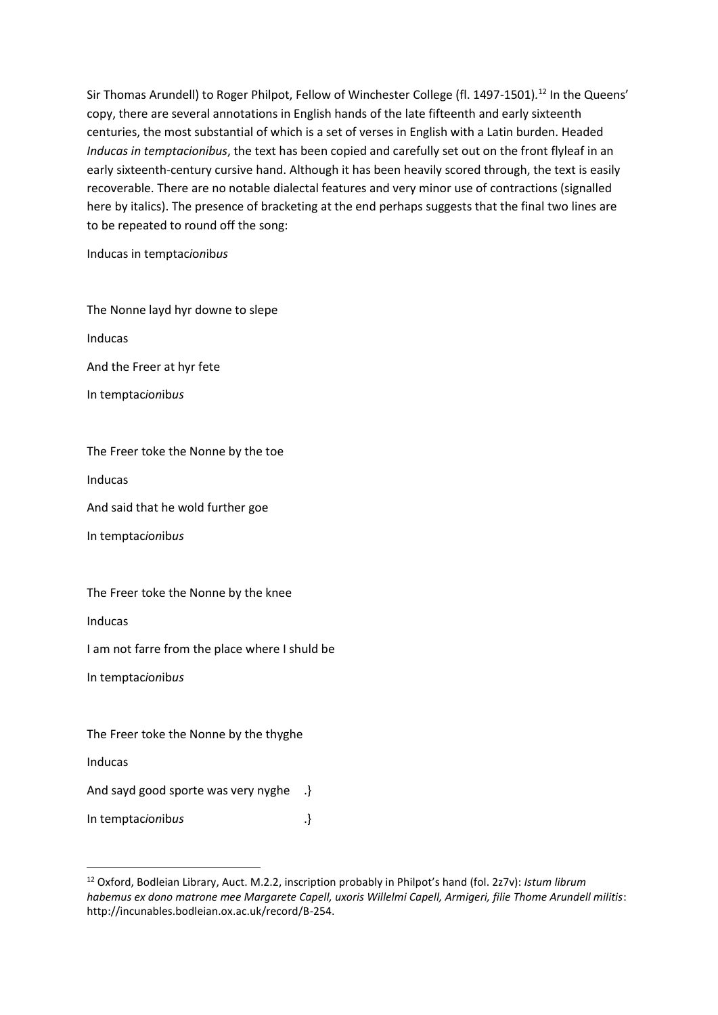Sir Thomas Arundell) to Roger Philpot, Fellow of Winchester College (fl. 1497-1501).<sup>12</sup> In the Queens' copy, there are several annotations in English hands of the late fifteenth and early sixteenth centuries, the most substantial of which is a set of verses in English with a Latin burden. Headed *Inducas in temptacionibus*, the text has been copied and carefully set out on the front flyleaf in an early sixteenth-century cursive hand. Although it has been heavily scored through, the text is easily recoverable. There are no notable dialectal features and very minor use of contractions (signalled here by italics). The presence of bracketing at the end perhaps suggests that the final two lines are to be repeated to round off the song:

Inducas in temptac*i*o*n*ib*us*

The Nonne layd hyr downe to slepe

Inducas

And the Freer at hyr fete

In temptac*i*o*n*ib*us*

## The Freer toke the Nonne by the toe

Inducas

And said that he wold further goe

In temptac*i*o*n*ib*us*

## The Freer toke the Nonne by the knee

Inducas

I am not farre from the place where I shuld be

In temptac*i*o*n*ib*us*

The Freer toke the Nonne by the thyghe

Inducas

**.** 

And sayd good sporte was very nyghe .}

In temptac*ionibus* .}

<sup>12</sup> Oxford, Bodleian Library, Auct. M.2.2, inscription probably in Philpot's hand (fol. 2z7v): *Istum librum habemus ex dono matrone mee Margarete Capell, uxoris Willelmi Capell, Armigeri, filie Thome Arundell militis*: http://incunables.bodleian.ox.ac.uk/record/B-254.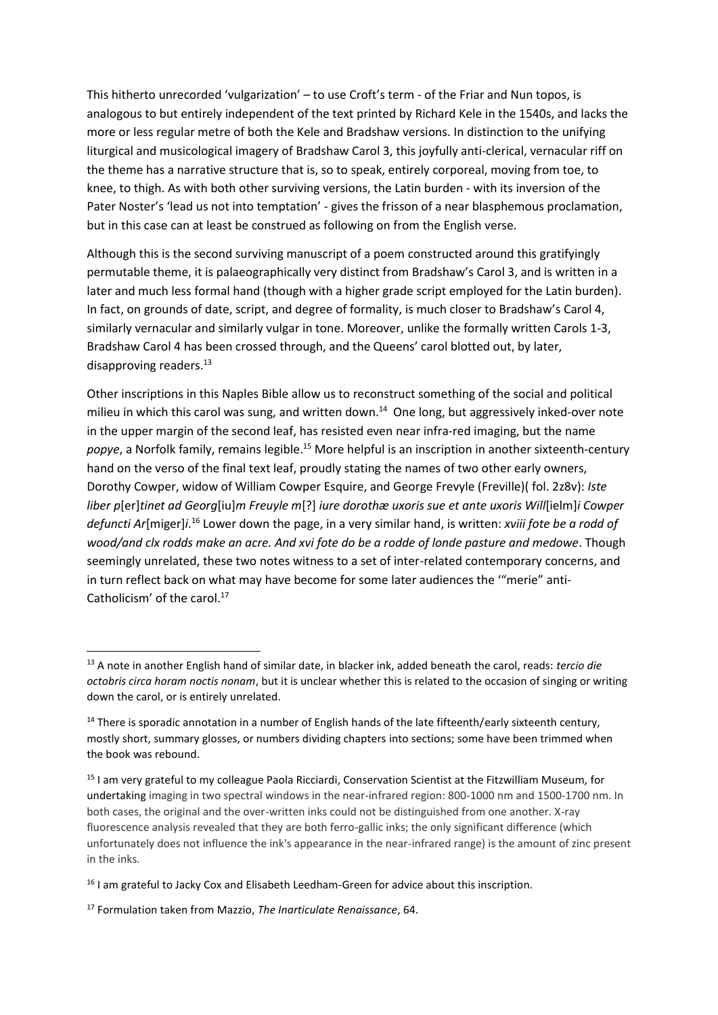This hitherto unrecorded 'vulgarization' – to use Croft's term - of the Friar and Nun topos, is analogous to but entirely independent of the text printed by Richard Kele in the 1540s, and lacks the more or less regular metre of both the Kele and Bradshaw versions. In distinction to the unifying liturgical and musicological imagery of Bradshaw Carol 3, this joyfully anti-clerical, vernacular riff on the theme has a narrative structure that is, so to speak, entirely corporeal, moving from toe, to knee, to thigh. As with both other surviving versions, the Latin burden - with its inversion of the Pater Noster's 'lead us not into temptation' - gives the frisson of a near blasphemous proclamation, but in this case can at least be construed as following on from the English verse.

Although this is the second surviving manuscript of a poem constructed around this gratifyingly permutable theme, it is palaeographically very distinct from Bradshaw's Carol 3, and is written in a later and much less formal hand (though with a higher grade script employed for the Latin burden). In fact, on grounds of date, script, and degree of formality, is much closer to Bradshaw's Carol 4, similarly vernacular and similarly vulgar in tone. Moreover, unlike the formally written Carols 1-3, Bradshaw Carol 4 has been crossed through, and the Queens' carol blotted out, by later, disapproving readers. $^{13}$ 

Other inscriptions in this Naples Bible allow us to reconstruct something of the social and political milieu in which this carol was sung, and written down.<sup>14</sup> One long, but aggressively inked-over note in the upper margin of the second leaf, has resisted even near infra-red imaging, but the name popye, a Norfolk family, remains legible.<sup>15</sup> More helpful is an inscription in another sixteenth-century hand on the verso of the final text leaf, proudly stating the names of two other early owners, Dorothy Cowper, widow of William Cowper Esquire, and George Frevyle (Freville)( fol. 2z8v): *Iste liber p*[er]*tinet ad Georg*[iu]*m Freuyle m*[?] *iure dorothæ uxoris sue et ante uxoris Will*[ielm]*i Cowper defuncti Ar*[miger]*i*. <sup>16</sup> Lower down the page, in a very similar hand, is written: *xviii fote be a rodd of wood/and clx rodds make an acre. And xvi fote do be a rodde of londe pasture and medowe*. Though seemingly unrelated, these two notes witness to a set of inter-related contemporary concerns, and in turn reflect back on what may have become for some later audiences the '"merie" anti-Catholicism' of the carol.<sup>17</sup>

**.** 

<sup>13</sup> A note in another English hand of similar date, in blacker ink, added beneath the carol, reads: *tercio die octobris circa horam noctis nonam*, but it is unclear whether this is related to the occasion of singing or writing down the carol, or is entirely unrelated.

<sup>&</sup>lt;sup>14</sup> There is sporadic annotation in a number of English hands of the late fifteenth/early sixteenth century, mostly short, summary glosses, or numbers dividing chapters into sections; some have been trimmed when the book was rebound.

<sup>&</sup>lt;sup>15</sup> I am very grateful to my colleague Paola Ricciardi, Conservation Scientist at the Fitzwilliam Museum, for undertaking imaging in two spectral windows in the near-infrared region: 800-1000 nm and 1500-1700 nm. In both cases, the original and the over-written inks could not be distinguished from one another. X-ray fluorescence analysis revealed that they are both ferro-gallic inks; the only significant difference (which unfortunately does not influence the ink's appearance in the near-infrared range) is the amount of zinc present in the inks.

<sup>&</sup>lt;sup>16</sup> I am grateful to Jacky Cox and Elisabeth Leedham-Green for advice about this inscription.

<sup>17</sup> Formulation taken from Mazzio, *The Inarticulate Renaissance*, 64.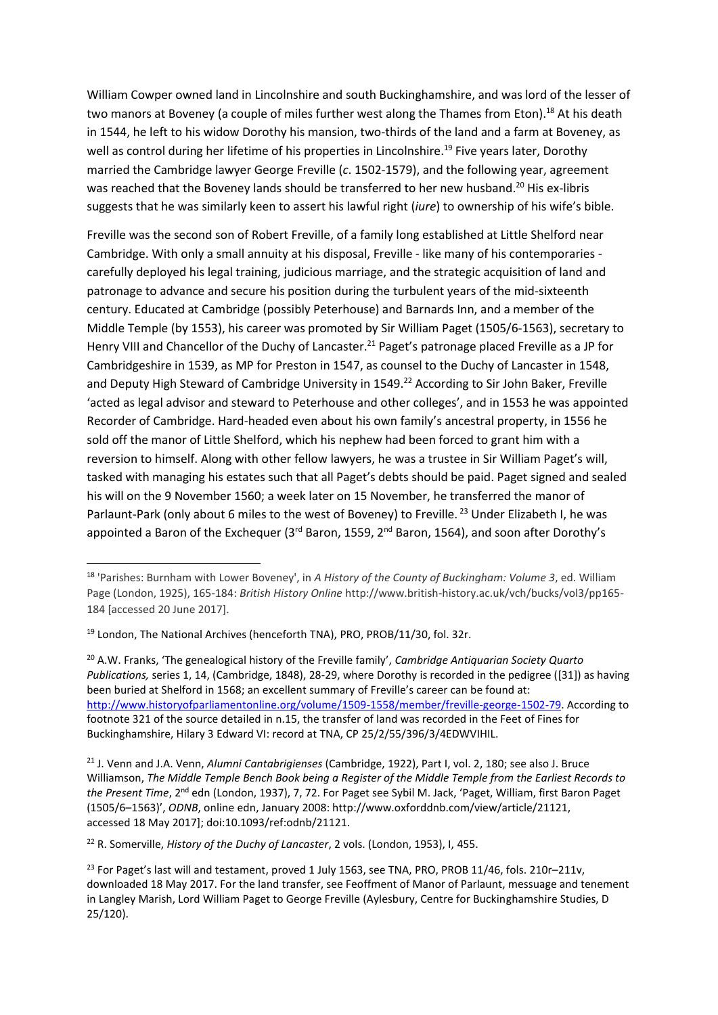William Cowper owned land in Lincolnshire and south Buckinghamshire, and was lord of the lesser of two manors at Boveney (a couple of miles further west along the Thames from Eton).<sup>18</sup> At his death in 1544, he left to his widow Dorothy his mansion, two-thirds of the land and a farm at Boveney, as well as control during her lifetime of his properties in Lincolnshire.<sup>19</sup> Five years later, Dorothy married the Cambridge lawyer George Freville (*c*. 1502-1579), and the following year, agreement was reached that the Boveney lands should be transferred to her new husband.<sup>20</sup> His ex-libris suggests that he was similarly keen to assert his lawful right (*iure*) to ownership of his wife's bible.

Freville was the second son of Robert Freville, of a family long established at Little Shelford near Cambridge. With only a small annuity at his disposal, Freville - like many of his contemporaries carefully deployed his legal training, judicious marriage, and the strategic acquisition of land and patronage to advance and secure his position during the turbulent years of the mid-sixteenth century. Educated at Cambridge (possibly Peterhouse) and Barnards Inn, and a member of the Middle Temple (by 1553), his career was promoted by Sir William Paget (1505/6-1563), secretary to Henry VIII and Chancellor of the Duchy of Lancaster.<sup>21</sup> Paget's patronage placed Freville as a JP for Cambridgeshire in 1539, as MP for Preston in 1547, as counsel to the Duchy of Lancaster in 1548, and Deputy High Steward of Cambridge University in 1549.<sup>22</sup> According to Sir John Baker, Freville 'acted as legal advisor and steward to Peterhouse and other colleges', and in 1553 he was appointed Recorder of Cambridge. Hard-headed even about his own family's ancestral property, in 1556 he sold off the manor of Little Shelford, which his nephew had been forced to grant him with a reversion to himself. Along with other fellow lawyers, he was a trustee in Sir William Paget's will, tasked with managing his estates such that all Paget's debts should be paid. Paget signed and sealed his will on the 9 November 1560; a week later on 15 November, he transferred the manor of Parlaunt-Park (only about 6 miles to the west of Boveney) to Freville.<sup>23</sup> Under Elizabeth I, he was appointed a Baron of the Exchequer (3<sup>rd</sup> Baron, 1559, 2<sup>nd</sup> Baron, 1564), and soon after Dorothy's

**.** 

<sup>22</sup> R. Somerville, *History of the Duchy of Lancaster*, 2 vols. (London, 1953), I, 455.

<sup>18</sup> 'Parishes: Burnham with Lower Boveney', in *A History of the County of Buckingham: Volume 3*, ed. William Page (London, 1925), 165-184: *British History Online* http://www.british-history.ac.uk/vch/bucks/vol3/pp165- 184 [accessed 20 June 2017].

<sup>&</sup>lt;sup>19</sup> London, The National Archives (henceforth TNA), PRO, PROB/11/30, fol. 32r.

<sup>20</sup> A.W. Franks, 'The genealogical history of the Freville family', *Cambridge Antiquarian Society Quarto Publications,* series 1, 14, (Cambridge, 1848), 28-29, where Dorothy is recorded in the pedigree ([31]) as having been buried at Shelford in 1568; an excellent summary of Freville's career can be found at: [http://www.historyofparliamentonline.org/volume/1509-1558/member/freville-george-1502-79.](http://www.historyofparliamentonline.org/volume/1509-1558/member/freville-george-1502-79) According to footnote 321 of the source detailed in n.15, the transfer of land was recorded in the Feet of Fines for Buckinghamshire, Hilary 3 Edward VI: record at TNA, CP 25/2/55/396/3/4EDWVIHIL.

<sup>21</sup> J. Venn and J.A. Venn, *Alumni Cantabrigienses* (Cambridge, 1922), Part I, vol. 2, 180; see also J. Bruce Williamson, *The Middle Temple Bench Book being a Register of the Middle Temple from the Earliest Records to the Present Time*, 2nd edn (London, 1937), 7, 72. For Paget see Sybil M. Jack, 'Paget, William, first Baron Paget (1505/6–1563)', *ODNB*, online edn, January 2008: http://www.oxforddnb.com/view/article/21121, accessed 18 May 2017]; doi:10.1093/ref:odnb/21121.

 $^{23}$  For Paget's last will and testament, proved 1 July 1563, see TNA, PRO, PROB 11/46, fols. 210r–211v, downloaded 18 May 2017. For the land transfer, see Feoffment of Manor of Parlaunt, messuage and tenement in Langley Marish, Lord William Paget to George Freville (Aylesbury, Centre for Buckinghamshire Studies, D 25/120).